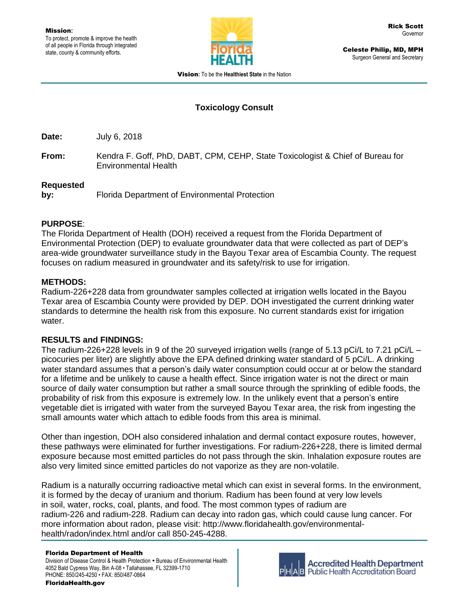

Celeste Philip, MD, MPH Surgeon General and Secretary

Vision**:** To be the **Healthiest State** in the Nation

# **Toxicology Consult**

**Date:** July 6, 2018

**From:** Kendra F. Goff, PhD, DABT, CPM, CEHP, State Toxicologist & Chief of Bureau for Environmental Health

#### **Requested**

**by:** Florida Department of Environmental Protection

### **PURPOSE**:

The Florida Department of Health (DOH) received a request from the Florida Department of Environmental Protection (DEP) to evaluate groundwater data that were collected as part of DEP's area-wide groundwater surveillance study in the Bayou Texar area of Escambia County. The request focuses on radium measured in groundwater and its safety/risk to use for irrigation.

## **METHODS:**

Radium-226+228 data from groundwater samples collected at irrigation wells located in the Bayou Texar area of Escambia County were provided by DEP. DOH investigated the current drinking water standards to determine the health risk from this exposure. No current standards exist for irrigation water.

### **RESULTS and FINDINGS:**

The radium-226+228 levels in 9 of the 20 surveyed irrigation wells (range of 5.13 pCi/L to 7.21 pCi/L – picocuries per liter) are slightly above the EPA defined drinking water standard of 5 pCi/L. A drinking water standard assumes that a person's daily water consumption could occur at or below the standard for a lifetime and be unlikely to cause a health effect. Since irrigation water is not the direct or main source of daily water consumption but rather a small source through the sprinkling of edible foods, the probability of risk from this exposure is extremely low. In the unlikely event that a person's entire vegetable diet is irrigated with water from the surveyed Bayou Texar area, the risk from ingesting the small amounts water which attach to edible foods from this area is minimal.

Other than ingestion, DOH also considered inhalation and dermal contact exposure routes, however, these pathways were eliminated for further investigations. For radium-226+228, there is limited dermal exposure because most emitted particles do not pass through the skin. Inhalation exposure routes are also very limited since emitted particles do not vaporize as they are non-volatile.

Radium is a naturally occurring radioactive metal which can exist in several forms. In the environment, it is formed by the decay of uranium and thorium. Radium has been found at very low levels in soil, water, rocks, coal, plants, and food. The most common types of radium are radium-226 and radium-228. Radium can decay into radon gas, which could cause lung cancer. For more information about radon, please visit: http://www.floridahealth.gov/environmentalhealth/radon/index.html and/or call 850-245-4288.

#### Florida Department of Health

Division of Disease Control & Health Protection . Bureau of Environmental Health 4052 Bald Cypress Way, Bin A-08 • Tallahassee, FL 32399-1710 PHONE: 850/245-4250 • FAX: 850/487-0864



**Accredited Health Department Public Health Accreditation Board**